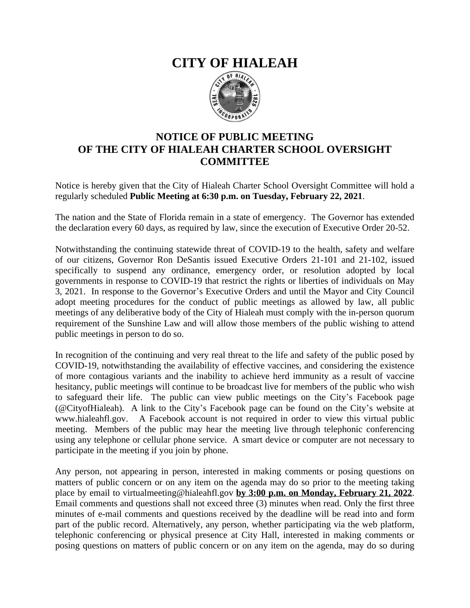# **CITY OF HIALEAH**



## **NOTICE OF PUBLIC MEETING OF THE CITY OF HIALEAH CHARTER SCHOOL OVERSIGHT COMMITTEE**

Notice is hereby given that the City of Hialeah Charter School Oversight Committee will hold a regularly scheduled **Public Meeting at 6:30 p.m. on Tuesday, February 22, 2021**.

The nation and the State of Florida remain in a state of emergency. The Governor has extended the declaration every 60 days, as required by law, since the execution of Executive Order 20-52.

Notwithstanding the continuing statewide threat of COVID-19 to the health, safety and welfare of our citizens, Governor Ron DeSantis issued Executive Orders 21-101 and 21-102, issued specifically to suspend any ordinance, emergency order, or resolution adopted by local governments in response to COVID-19 that restrict the rights or liberties of individuals on May 3, 2021. In response to the Governor's Executive Orders and until the Mayor and City Council adopt meeting procedures for the conduct of public meetings as allowed by law, all public meetings of any deliberative body of the City of Hialeah must comply with the in-person quorum requirement of the Sunshine Law and will allow those members of the public wishing to attend public meetings in person to do so.

In recognition of the continuing and very real threat to the life and safety of the public posed by COVID-19, notwithstanding the availability of effective vaccines, and considering the existence of more contagious variants and the inability to achieve herd immunity as a result of vaccine hesitancy, public meetings will continue to be broadcast live for members of the public who wish to safeguard their life. The public can view public meetings on the City's Facebook page (@CityofHialeah). A link to the City's Facebook page can be found on the City's website at www.hialeahfl.gov. A Facebook account is not required in order to view this virtual public meeting. Members of the public may hear the meeting live through telephonic conferencing using any telephone or cellular phone service. A smart device or computer are not necessary to participate in the meeting if you join by phone.

Any person, not appearing in person, interested in making comments or posing questions on matters of public concern or on any item on the agenda may do so prior to the meeting taking place by email to virtualmeeting@hialeahfl.gov **by 3:00 p.m. on Monday, February 21, 2022**. Email comments and questions shall not exceed three (3) minutes when read. Only the first three minutes of e-mail comments and questions received by the deadline will be read into and form part of the public record. Alternatively, any person, whether participating via the web platform, telephonic conferencing or physical presence at City Hall, interested in making comments or posing questions on matters of public concern or on any item on the agenda, may do so during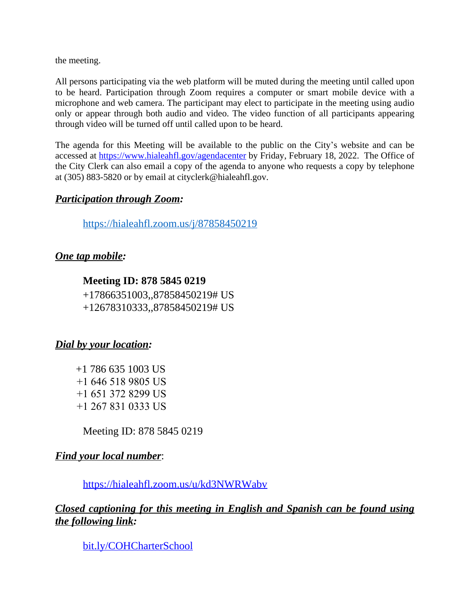the meeting.

All persons participating via the web platform will be muted during the meeting until called upon to be heard. Participation through Zoom requires a computer or smart mobile device with a microphone and web camera. The participant may elect to participate in the meeting using audio only or appear through both audio and video. The video function of all participants appearing through video will be turned off until called upon to be heard.

The agenda for this Meeting will be available to the public on the City's website and can be accessed at <https://www.hialeahfl.gov/agendacenter> by Friday, February 18, 2022. The Office of the City Clerk can also email a copy of the agenda to anyone who requests a copy by telephone at (305) 883-5820 or by email at cityclerk@hialeahfl.gov.

#### *Participation through Zoom:*

<https://hialeahfl.zoom.us/j/87858450219>

## *One tap mobile:*

#### **Meeting ID: 878 5845 0219**

+17866351003,,87858450219# US +12678310333,,87858450219# US

#### *Dial by your location:*

+1 786 635 1003 US +1 646 518 9805 US +1 651 372 8299 US +1 267 831 0333 US

Meeting ID: 878 5845 0219

#### *Find your local number*:

<https://hialeahfl.zoom.us/u/kd3NWRWabv>

## *Closed captioning for this meeting in English and Spanish can be found using the following link:*

[bit.ly/COHCharterSchool](http://bit.ly/COHCharterSchool)